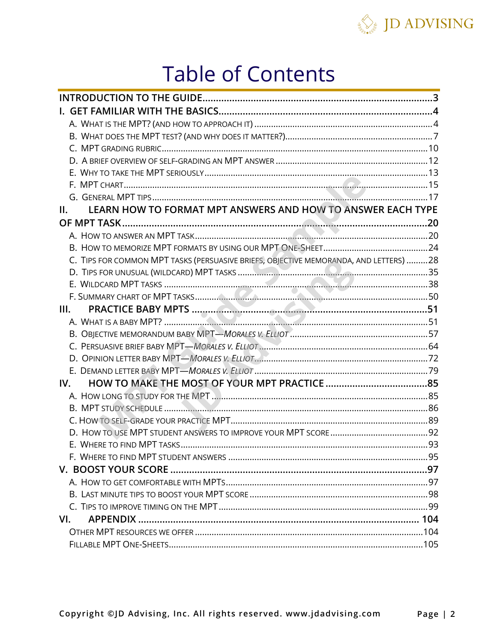

# **Table of Contents**

| LEARN HOW TO FORMAT MPT ANSWERS AND HOW TO ANSWER EACH TYPE<br>II.                    |  |
|---------------------------------------------------------------------------------------|--|
|                                                                                       |  |
|                                                                                       |  |
|                                                                                       |  |
| C. TIPS FOR COMMON MPT TASKS (PERSUASIVE BRIEFS, OBJECTIVE MEMORANDA, AND LETTERS) 28 |  |
|                                                                                       |  |
|                                                                                       |  |
|                                                                                       |  |
| III.                                                                                  |  |
|                                                                                       |  |
|                                                                                       |  |
|                                                                                       |  |
|                                                                                       |  |
|                                                                                       |  |
| IV.                                                                                   |  |
|                                                                                       |  |
|                                                                                       |  |
|                                                                                       |  |
|                                                                                       |  |
|                                                                                       |  |
|                                                                                       |  |
| V. BOOST YOUR SCORE ………………………………………………………………………………………97                               |  |
|                                                                                       |  |
|                                                                                       |  |
|                                                                                       |  |
| VI.                                                                                   |  |
|                                                                                       |  |
|                                                                                       |  |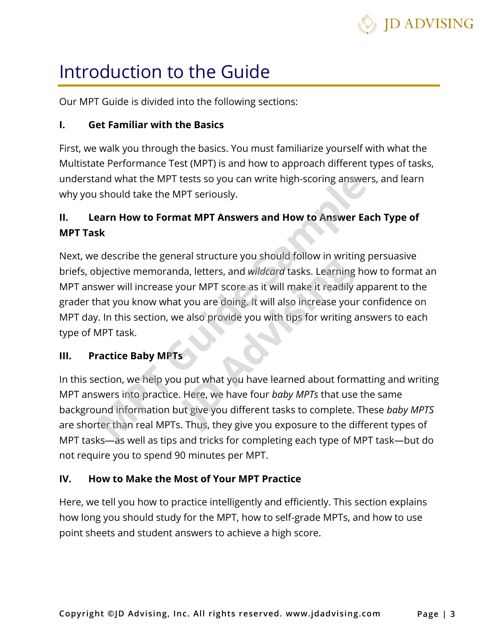

## Introduction to the Guide

Our MPT Guide is divided into the following sections:

## **I. Get Familiar with the Basics**

First, we walk you through the basics. You must familiarize yourself with what the Multistate Performance Test (MPT) is and how to approach different types of tasks, understand what the MPT tests so you can write high-scoring answers, and learn why you should take the MPT seriously.

## **II. Learn How to Format MPT Answers and How to Answer Each Type of MPT Task**

Next, we describe the general structure you should follow in writing persuasive briefs, objective memoranda, letters, and *wildcard* tasks. Learning how to format an MPT answer will increase your MPT score as it will make it readily apparent to the grader that you know what you are doing. It will also increase your confidence on MPT day. In this section, we also provide you with tips for writing answers to each type of MPT task. and what the MPT tests so you can write high-scoring answers,<br>should take the MPT seriously.<br>**Mann How to Format MPT Answers and How to Answer Each<br>k**<br>describe the general structure you should follow in writing pe<br>bjective related structure you should follow in writh<br>da, letters, and *wildcard* tasks. Learning<br>your MPT score as it will make it readily at<br>you are doing. It will also increase your<br>ye also provide you with tips for writing a<br>se

### **III. Practice Baby MPTs**

In this section, we help you put what you have learned about formatting and writing MPT answers into practice. Here, we have four *baby MPTs* that use the same background information but give you different tasks to complete. These *baby MPTS* are shorter than real MPTs. Thus, they give you exposure to the different types of MPT tasks—as well as tips and tricks for completing each type of MPT task—but do not require you to spend 90 minutes per MPT.

## **IV. How to Make the Most of Your MPT Practice**

Here, we tell you how to practice intelligently and efficiently. This section explains how long you should study for the MPT, how to self-grade MPTs, and how to use point sheets and student answers to achieve a high score.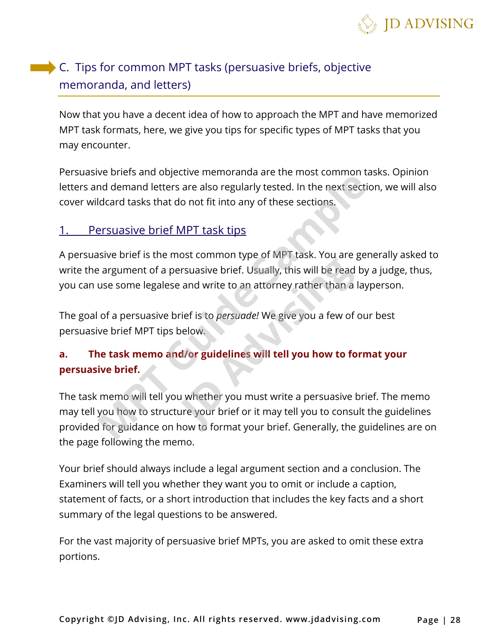

## C. Tips for common MPT tasks (persuasive briefs, objective memoranda, and letters)

Now that you have a decent idea of how to approach the MPT and have memorized MPT task formats, here, we give you tips for specific types of MPT tasks that you may encounter.

Persuasive briefs and objective memoranda are the most common tasks. Opinion letters and demand letters are also regularly tested. In the next section, we will also cover wildcard tasks that do not fit into any of these sections.

## 1. Persuasive brief MPT task tips

A persuasive brief is the most common type of MPT task. You are generally asked to write the argument of a persuasive brief. Usually, this will be read by a judge, thus, you can use some legalese and write to an attorney rather than a layperson.

The goal of a persuasive brief is to *persuade!* We give you a few of our best persuasive brief MPT tips below.

## **a. The task memo and/or guidelines will tell you how to format your persuasive brief.**

The task memo will tell you whether you must write a persuasive brief. The memo may tell you how to structure your brief or it may tell you to consult the guidelines provided for guidance on how to format your brief. Generally, the guidelines are on the page following the memo. The burst and departmental and the the most common data demand letters are also regularly tested. In the next section<br>didard tasks that do not fit into any of these sections.<br>Firsuasive brief MPT task tips<br>sive brief is th Figures of twist task. For and get<br>and write to an attorney rather than a l<br>rief is to *persuade!* We give you a few of<br>below.<br>**d/or guidelines will tell you how to fo**<br>we whether you must write a persuasive b<br>ure your bri

Your brief should always include a legal argument section and a conclusion. The Examiners will tell you whether they want you to omit or include a caption, statement of facts, or a short introduction that includes the key facts and a short summary of the legal questions to be answered.

For the vast majority of persuasive brief MPTs, you are asked to omit these extra portions.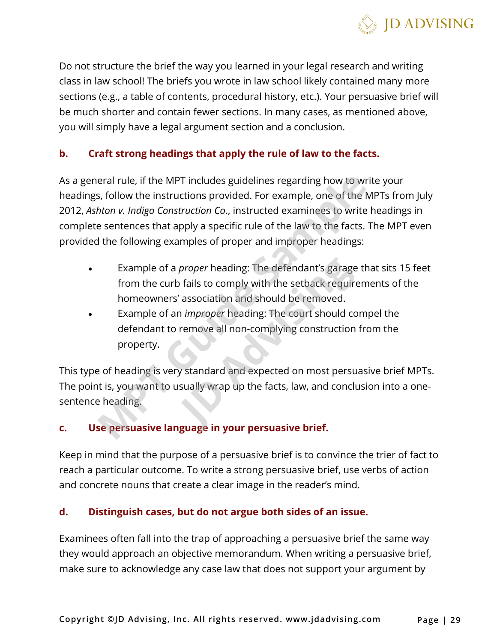

Do not structure the brief the way you learned in your legal research and writing class in law school! The briefs you wrote in law school likely contained many more sections (e.g., a table of contents, procedural history, etc.). Your persuasive brief will be much shorter and contain fewer sections. In many cases, as mentioned above, you will simply have a legal argument section and a conclusion.

## **b. Craft strong headings that apply the rule of law to the facts.**

As a general rule, if the MPT includes guidelines regarding how to write your headings, follow the instructions provided. For example, one of the MPTs from July 2012, *Ashton v. Indigo Construction Co*., instructed examinees to write headings in complete sentences that apply a specific rule of the law to the facts. The MPT even provided the following examples of proper and improper headings: eral rule, if the MPT includes guidelines regarding how to write<br>s, follow the instructions provided. For example, one of the MP<br>*hton v. Indigo Construction Co.*, instructed examinees to write he<br>sentences that apply a sp

- Example of a *proper* heading: The defendant's garage that sits 15 feet from the curb fails to comply with the setback requirements of the homeowners' association and should be removed. *proper* heading: The defendant's garage<br>o fails to comply with the setback require<br>' association and should be removed.<br>n *improper* heading: The court should co<br>remove all non-complying construction<br>y standard and expect
- Example of an *improper* heading: The court should compel the defendant to remove all non-complying construction from the property.

This type of heading is very standard and expected on most persuasive brief MPTs. The point is, you want to usually wrap up the facts, law, and conclusion into a onesentence heading.

### **c. Use persuasive language in your persuasive brief.**

Keep in mind that the purpose of a persuasive brief is to convince the trier of fact to reach a particular outcome. To write a strong persuasive brief, use verbs of action and concrete nouns that create a clear image in the reader's mind.

#### **d. Distinguish cases, but do not argue both sides of an issue.**

Examinees often fall into the trap of approaching a persuasive brief the same way they would approach an objective memorandum. When writing a persuasive brief, make sure to acknowledge any case law that does not support your argument by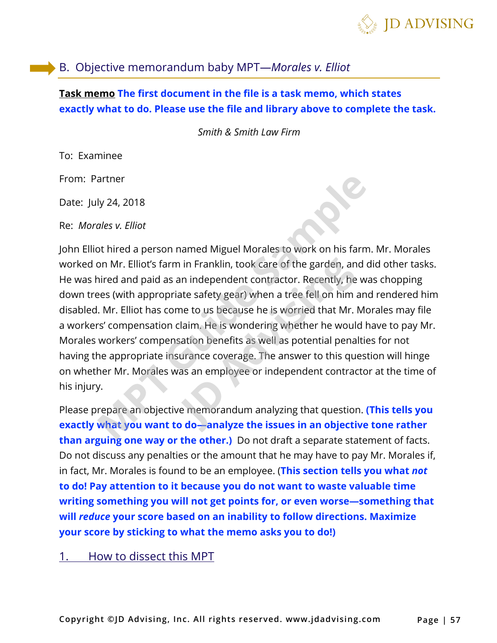

## B. Objective memorandum baby MPT—*Morales v. Elliot*

## **Task memo The first document in the file is a task memo, which states exactly what to do. Please use the file and library above to complete the task.**

*Smith & Smith Law Firm* 

To: Examinee

From: Partner

Date: July 24, 2018

Re: *Morales v. Elliot*

John Elliot hired a person named Miguel Morales to work on his farm. Mr. Morales worked on Mr. Elliot's farm in Franklin, took care of the garden, and did other tasks. He was hired and paid as an independent contractor. Recently, he was chopping down trees (with appropriate safety gear) when a tree fell on him and rendered him disabled. Mr. Elliot has come to us because he is worried that Mr. Morales may file a workers' compensation claim. He is wondering whether he would have to pay Mr. Morales workers' compensation benefits as well as potential penalties for not having the appropriate insurance coverage. The answer to this question will hinge on whether Mr. Morales was an employee or independent contractor at the time of his injury. artner<br>Iy 24, 2018<br>Ides v. Elliot<br>Ides v. Elliot<br>Is also stand a person named Miguel Morales to work on his farm. Non Mr. Elliot's farm in Franklin, took care of the garden, and dici<br>Initial and paid as an independent cont n in Franklin, took care of the garden, an<br>an independent contractor. Recently, he<br>ate safety gear) when a tree fell on him a<br>me to us because he is worried that Mr. I<br>claim. He is wondering whether he would<br>sation benefit

Please prepare an objective memorandum analyzing that question. **(This tells you exactly what you want to do—analyze the issues in an objective tone rather than arguing one way or the other.)** Do not draft a separate statement of facts. Do not discuss any penalties or the amount that he may have to pay Mr. Morales if, in fact, Mr. Morales is found to be an employee. (**This section tells you what** *not*  **to do! Pay attention to it because you do not want to waste valuable time writing something you will not get points for, or even worse—something that will** *reduce* **your score based on an inability to follow directions. Maximize your score by sticking to what the memo asks you to do!)** 

1. How to dissect this MPT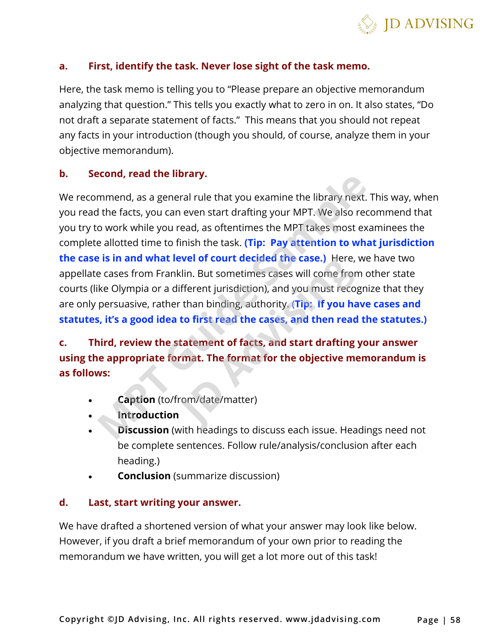

#### **a. First, identify the task. Never lose sight of the task memo.**

Here, the task memo is telling you to "Please prepare an objective memorandum analyzing that question." This tells you exactly what to zero in on. It also states, "Do not draft a separate statement of facts." This means that you should not repeat any facts in your introduction (though you should, of course, analyze them in your objective memorandum).

#### **b. Second, read the library.**

We recommend, as a general rule that you examine the library next. This way, when you read the facts, you can even start drafting your MPT. We also recommend that you try to work while you read, as oftentimes the MPT takes most examinees the complete allotted time to finish the task. **(Tip: Pay attention to what jurisdiction the case is in and what level of court decided the case.)** Here, we have two appellate cases from Franklin. But sometimes cases will come from other state courts (like Olympia or a different jurisdiction), and you must recognize that they are only persuasive, rather than binding, authority. (**Tip: If you have cases and statutes, it's a good idea to first read the cases, and then read the statutes.) Example 18 and Server Internal Server Internal Server Screen Discussion**<br>
Mimend, as a general rule that you examine the library next. The facts, you can even start drafting your MPT. We also record o work while you read, **Evel or court decided the case.)** Here,<br>klin. But sometimes cases will come from<br>ifferent jurisdiction), and you must reco<sub>l</sub><br>r than binding, authority. (**Tip: If you ha**<br>**to first read the cases, and then read<br>statement** 

**c. Third, review the statement of facts, and start drafting your answer using the appropriate format. The format for the objective memorandum is as follows:** 

- **Caption** (to/from/date/matter)
- **Introduction**
- **Discussion** (with headings to discuss each issue. Headings need not be complete sentences. Follow rule/analysis/conclusion after each heading.)
- **Conclusion** (summarize discussion)

#### **d. Last, start writing your answer.**

We have drafted a shortened version of what your answer may look like below. However, if you draft a brief memorandum of your own prior to reading the memorandum we have written, you will get a lot more out of this task!